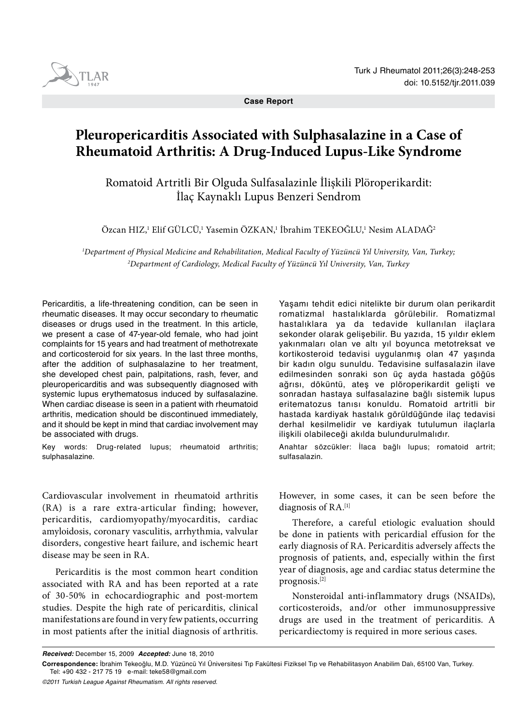

**Case Report**

# **Pleuropericarditis Associated with Sulphasalazine in a Case of Rheumatoid Arthritis: A Drug-Induced Lupus-Like Syndrome**

Romatoid Artritli Bir Olguda Sulfasalazinle İlişkili Plöroperikardit: İlaç Kaynaklı Lupus Benzeri Sendrom

Özcan HIZ,<sup>1</sup> Elif GÜLCÜ,<sup>1</sup> Yasemin ÖZKAN,<sup>1</sup> İbrahim TEKEOĞLU,<sup>1</sup> Nesim ALADAĞ<sup>2</sup>

*1 Department of Physical Medicine and Rehabilitation, Medical Faculty of Yüzüncü Yıl University, Van, Turkey; 2 Department of Cardiology, Medical Faculty of Yüzüncü Yıl University, Van, Turkey*

Pericarditis, a life-threatening condition, can be seen in rheumatic diseases. It may occur secondary to rheumatic diseases or drugs used in the treatment. In this article, we present a case of 47-year-old female, who had joint complaints for 15 years and had treatment of methotrexate and corticosteroid for six years. In the last three months, after the addition of sulphasalazine to her treatment, she developed chest pain, palpitations, rash, fever, and pleuropericarditis and was subsequently diagnosed with systemic lupus erythematosus induced by sulfasalazine. When cardiac disease is seen in a patient with rheumatoid arthritis, medication should be discontinued immediately, and it should be kept in mind that cardiac involvement may be associated with drugs.

Key words: Drug-related lupus; rheumatoid arthritis; sulphasalazine.

Cardiovascular involvement in rheumatoid arthritis (RA) is a rare extra-articular finding; however, pericarditis, cardiomyopathy/myocarditis, cardiac amyloidosis, coronary vasculitis, arrhythmia, valvular disorders, congestive heart failure, and ischemic heart disease may be seen in RA.

Pericarditis is the most common heart condition associated with RA and has been reported at a rate of 30-50% in echocardiographic and post-mortem studies. Despite the high rate of pericarditis, clinical manifestations are found in very few patients, occurring in most patients after the initial diagnosis of arthritis.

Yaşamı tehdit edici nitelikte bir durum olan perikardit romatizmal hastalıklarda görülebilir. Romatizmal hastalıklara ya da tedavide kullanılan ilaçlara sekonder olarak gelişebilir. Bu yazıda, 15 yıldır eklem yakınmaları olan ve altı yıl boyunca metotreksat ve kortikosteroid tedavisi uygulanmış olan 47 yaşında bir kadın olgu sunuldu. Tedavisine sulfasalazin ilave edilmesinden sonraki son üç ayda hastada göğüs ağrısı, döküntü, ateş ve plöroperikardit gelişti ve sonradan hastaya sulfasalazine bağlı sistemik lupus eritematozus tanısı konuldu. Romatoid artritli bir hastada kardiyak hastalık görüldüğünde ilaç tedavisi derhal kesilmelidir ve kardiyak tutulumun ilaçlarla ilişkili olabileceği akılda bulundurulmalıdır.

Anahtar sözcükler: İlaca bağlı lupus; romatoid artrit; sulfasalazin.

However, in some cases, it can be seen before the diagnosis of RA.[1]

Therefore, a careful etiologic evaluation should be done in patients with pericardial effusion for the early diagnosis of RA. Pericarditis adversely affects the prognosis of patients, and, especially within the first year of diagnosis, age and cardiac status determine the prognosis.[2]

Nonsteroidal anti-inflammatory drugs (NSAIDs), corticosteroids, and/or other immunosuppressive drugs are used in the treatment of pericarditis. A pericardiectomy is required in more serious cases.

*©2011 Turkish League Against Rheumatism. All rights reserved.*

*Received:* December 15, 2009 *Accepted:* June 18, 2010

**Correspondence:** İbrahim Tekeoğlu, M.D. Yüzüncü Yıl Üniversitesi Tıp Fakültesi Fiziksel Tıp ve Rehabilitasyon Anabilim Dalı, 65100 Van, Turkey. Tel: +90 432 - 217 75 19 e-mail: teke58@gmail.com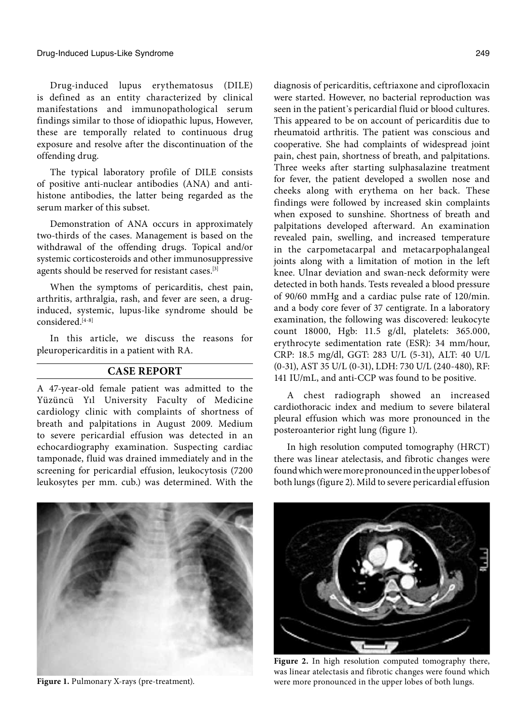Drug-induced lupus erythematosus (DILE) is defined as an entity characterized by clinical manifestations and immunopathological serum findings similar to those of idiopathic lupus, However, these are temporally related to continuous drug exposure and resolve after the discontinuation of the offending drug.

The typical laboratory profile of DILE consists of positive anti-nuclear antibodies (ANA) and antihistone antibodies, the latter being regarded as the serum marker of this subset.

Demonstration of ANA occurs in approximately two-thirds of the cases. Management is based on the withdrawal of the offending drugs. Topical and/or systemic corticosteroids and other immunosuppressive agents should be reserved for resistant cases.[3]

When the symptoms of pericarditis, chest pain, arthritis, arthralgia, rash, and fever are seen, a druginduced, systemic, lupus-like syndrome should be considered.[4-8]

In this article, we discuss the reasons for pleuropericarditis in a patient with RA.

## **CASE REPORT**

A 47-year-old female patient was admitted to the Yüzüncü Yıl University Faculty of Medicine cardiology clinic with complaints of shortness of breath and palpitations in August 2009. Medium to severe pericardial effusion was detected in an echocardiography examination. Suspecting cardiac tamponade, fluid was drained immediately and in the screening for pericardial effusion, leukocytosis (7200 leukosytes per mm. cub.) was determined. With the diagnosis of pericarditis, ceftriaxone and ciprofloxacin were started. However, no bacterial reproduction was seen in the patient's pericardial fluid or blood cultures. This appeared to be on account of pericarditis due to rheumatoid arthritis. The patient was conscious and cooperative. She had complaints of widespread joint pain, chest pain, shortness of breath, and palpitations. Three weeks after starting sulphasalazine treatment for fever, the patient developed a swollen nose and cheeks along with erythema on her back. These findings were followed by increased skin complaints when exposed to sunshine. Shortness of breath and palpitations developed afterward. An examination revealed pain, swelling, and increased temperature in the carpometacarpal and metacarpophalangeal joints along with a limitation of motion in the left knee. Ulnar deviation and swan-neck deformity were detected in both hands. Tests revealed a blood pressure of 90/60 mmHg and a cardiac pulse rate of 120/min. and a body core fever of 37 centigrate. In a laboratory examination, the following was discovered: leukocyte count 18000, Hgb: 11.5 g/dl, platelets: 365.000, erythrocyte sedimentation rate (ESR): 34 mm/hour, CRP: 18.5 mg/dl, GGT: 283 U/L (5-31), ALT: 40 U/L (0-31), AST 35 U/L (0-31), LDH: 730 U/L (240-480), RF: 141 IU/mL, and anti-CCP was found to be positive.

A chest radiograph showed an increased cardiothoracic index and medium to severe bilateral pleural effusion which was more pronounced in the posteroanterior right lung (figure 1).

In high resolution computed tomography (HRCT) there was linear atelectasis, and fibrotic changes were found which were more pronounced in the upper lobes of both lungs (figure 2). Mild to severe pericardial effusion



Figure 2. In high resolution computed tomography there, was linear atelectasis and fibrotic changes were found which Figure 1. Pulmonary X-rays (pre-treatment). were more pronounced in the upper lobes of both lungs.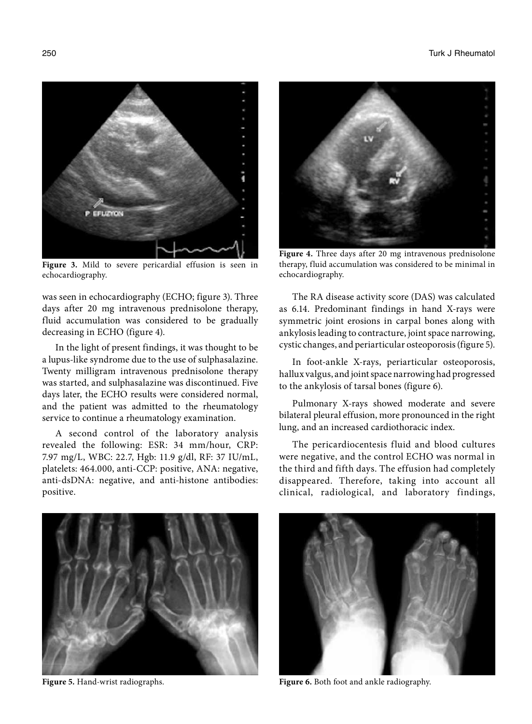250 Turk J Rheumatol



**Figure 3.** Mild to severe pericardial effusion is seen in echocardiography.

was seen in echocardiography (ECHO; figure 3). Three days after 20 mg intravenous prednisolone therapy, fluid accumulation was considered to be gradually decreasing in ECHO (figure 4).

In the light of present findings, it was thought to be a lupus-like syndrome due to the use of sulphasalazine. Twenty milligram intravenous prednisolone therapy was started, and sulphasalazine was discontinued. Five days later, the ECHO results were considered normal, and the patient was admitted to the rheumatology service to continue a rheumatology examination.

A second control of the laboratory analysis revealed the following: ESR: 34 mm/hour, CRP: 7.97 mg/L, WBC: 22.7, Hgb: 11.9 g/dl, RF: 37 IU/mL, platelets: 464.000, anti-CCP: positive, ANA: negative, anti-dsDNA: negative, and anti-histone antibodies: positive.



**Figure 4.** Three days after 20 mg intravenous prednisolone therapy, fluid accumulation was considered to be minimal in echocardiography.

The RA disease activity score (DAS) was calculated as 6.14. Predominant findings in hand X-rays were symmetric joint erosions in carpal bones along with ankylosis leading to contracture, joint space narrowing, cystic changes, and periarticular osteoporosis (figure 5).

In foot-ankle X-rays, periarticular osteoporosis, hallux valgus, and joint space narrowing had progressed to the ankylosis of tarsal bones (figure 6).

Pulmonary X-rays showed moderate and severe bilateral pleural effusion, more pronounced in the right lung, and an increased cardiothoracic index.

The pericardiocentesis fluid and blood cultures were negative, and the control ECHO was normal in the third and fifth days. The effusion had completely disappeared. Therefore, taking into account all clinical, radiological, and laboratory findings,





**Figure 5.** Hand-wrist radiographs. **Figure 6.** Both foot and ankle radiography.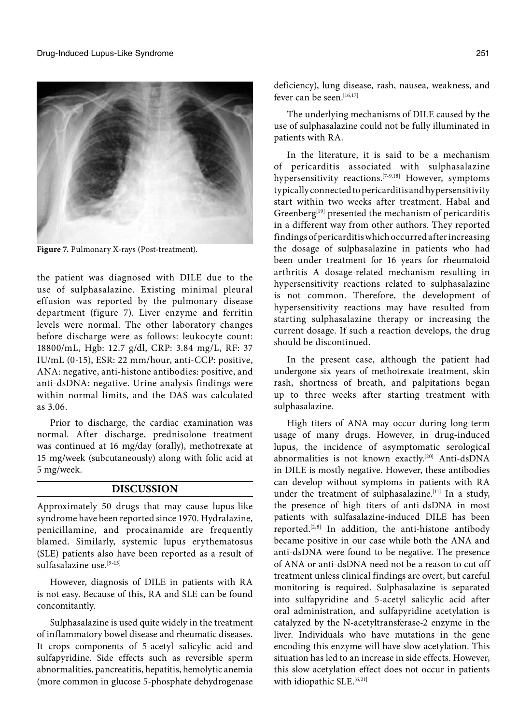

**Figure 7.** Pulmonary X-rays (Post-treatment).

the patient was diagnosed with DILE due to the use of sulphasalazine. Existing minimal pleural effusion was reported by the pulmonary disease department (figure 7). Liver enzyme and ferritin levels were normal. The other laboratory changes before discharge were as follows: leukocyte count: 18800/mL, Hgb: 12.7 g/dl, CRP: 3.84 mg/L, RF: 37 IU/mL (0-15), ESR: 22 mm/hour, anti-CCP: positive, ANA: negative, anti-histone antibodies: positive, and anti-dsDNA: negative. Urine analysis findings were within normal limits, and the DAS was calculated as 3.06.

Prior to discharge, the cardiac examination was normal. After discharge, prednisolone treatment was continued at 16 mg/day (orally), methotrexate at 15 mg/week (subcutaneously) along with folic acid at 5 mg/week.

#### **DISCUSSION**

Approximately 50 drugs that may cause lupus-like syndrome have been reported since 1970. Hydralazine, penicillamine, and procainamide are frequently blamed. Similarly, systemic lupus erythematosus (SLE) patients also have been reported as a result of sulfasalazine use.[9-15]

However, diagnosis of DILE in patients with RA is not easy. Because of this, RA and SLE can be found concomitantly.

Sulphasalazine is used quite widely in the treatment of inflammatory bowel disease and rheumatic diseases. It crops components of 5-acetyl salicylic acid and sulfapyridine. Side effects such as reversible sperm abnormalities, pancreatitis, hepatitis, hemolytic anemia (more common in glucose 5-phosphate dehydrogenase

deficiency), lung disease, rash, nausea, weakness, and fever can be seen  $[16,17]$ 

The underlying mechanisms of DILE caused by the use of sulphasalazine could not be fully illuminated in patients with RA.

In the literature, it is said to be a mechanism of pericarditis associated with sulphasalazine hypersensitivity reactions.<sup>[7-9,18]</sup> However, symptoms typically connected to pericarditis and hypersensitivity start within two weeks after treatment. Habal and Greenberg[19] presented the mechanism of pericarditis in a different way from other authors. They reported findings of pericarditis which occurred after increasing the dosage of sulphasalazine in patients who had been under treatment for 16 years for rheumatoid arthritis A dosage-related mechanism resulting in hypersensitivity reactions related to sulphasalazine is not common. Therefore, the development of hypersensitivity reactions may have resulted from starting sulphasalazine therapy or increasing the current dosage. If such a reaction develops, the drug should be discontinued.

In the present case, although the patient had undergone six years of methotrexate treatment, skin rash, shortness of breath, and palpitations began up to three weeks after starting treatment with sulphasalazine.

High titers of ANA may occur during long-term usage of many drugs. However, in drug-induced lupus, the incidence of asymptomatic serological abnormalities is not known exactly.[20] Anti-dsDNA in DILE is mostly negative. However, these antibodies can develop without symptoms in patients with RA under the treatment of sulphasalazine.<sup>[11]</sup> In a study, the presence of high titers of anti-dsDNA in most patients with sulfasalazine-induced DILE has been reported. $[2,8]$  In addition, the anti-histone antibody became positive in our case while both the ANA and anti-dsDNA were found to be negative. The presence of ANA or anti-dsDNA need not be a reason to cut off treatment unless clinical findings are overt, but careful monitoring is required. Sulphasalazine is separated into sulfapyridine and 5-acetyl salicylic acid after oral administration, and sulfapyridine acetylation is catalyzed by the N-acetyltransferase-2 enzyme in the liver. Individuals who have mutations in the gene encoding this enzyme will have slow acetylation. This situation has led to an increase in side effects. However, this slow acetylation effect does not occur in patients with idiopathic  $SLE.$ <sup>[6,21]</sup>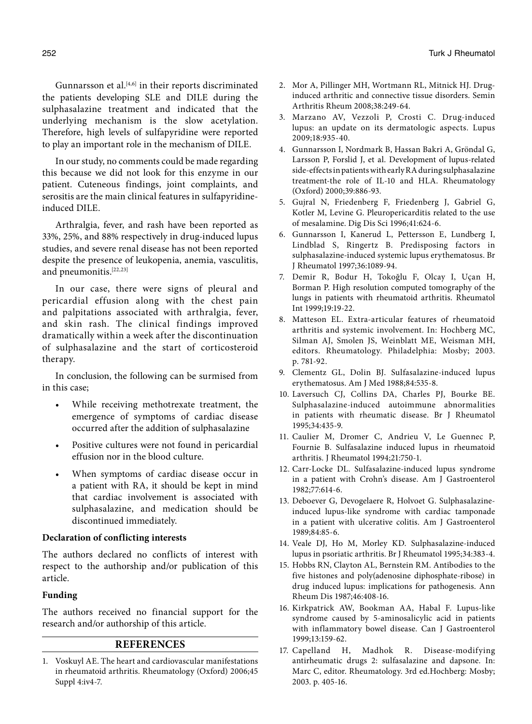Gunnarsson et al. $[4,6]$  in their reports discriminated the patients developing SLE and DILE during the sulphasalazine treatment and indicated that the underlying mechanism is the slow acetylation. Therefore, high levels of sulfapyridine were reported to play an important role in the mechanism of DILE.

In our study, no comments could be made regarding this because we did not look for this enzyme in our patient. Cuteneous findings, joint complaints, and serositis are the main clinical features in sulfapyridineinduced DILE.

Arthralgia, fever, and rash have been reported as 33%, 25%, and 88% respectively in drug-induced lupus studies, and severe renal disease has not been reported despite the presence of leukopenia, anemia, vasculitis, and pneumonitis.<sup>[22,23]</sup>

In our case, there were signs of pleural and pericardial effusion along with the chest pain and palpitations associated with arthralgia, fever, and skin rash. The clinical findings improved dramatically within a week after the discontinuation of sulphasalazine and the start of corticosteroid therapy.

In conclusion, the following can be surmised from in this case;

- While receiving methotrexate treatment, the emergence of symptoms of cardiac disease occurred after the addition of sulphasalazine
- Positive cultures were not found in pericardial effusion nor in the blood culture.
- When symptoms of cardiac disease occur in a patient with RA, it should be kept in mind that cardiac involvement is associated with sulphasalazine, and medication should be discontinued immediately.

## **Declaration of conflicting interests**

The authors declared no conflicts of interest with respect to the authorship and/or publication of this article.

#### **Funding**

The authors received no financial support for the research and/or authorship of this article.

## **REFERENCES**

1. Voskuyl AE. The heart and cardiovascular manifestations in rheumatoid arthritis. Rheumatology (Oxford) 2006;45 Suppl 4:iv4-7.

- 2. Mor A, Pillinger MH, Wortmann RL, Mitnick HJ. Druginduced arthritic and connective tissue disorders. Semin Arthritis Rheum 2008;38:249-64.
- 3. Marzano AV, Vezzoli P, Crosti C. Drug-induced lupus: an update on its dermatologic aspects. Lupus 2009;18:935-40.
- 4. Gunnarsson I, Nordmark B, Hassan Bakri A, Gröndal G, Larsson P, Forslid J, et al. Development of lupus-related side-effects in patients with early RA during sulphasalazine treatment-the role of IL-10 and HLA. Rheumatology (Oxford) 2000;39:886-93.
- 5. Gujral N, Friedenberg F, Friedenberg J, Gabriel G, Kotler M, Levine G. Pleuropericarditis related to the use of mesalamine. Dig Dis Sci 1996;41:624-6.
- 6. Gunnarsson I, Kanerud L, Pettersson E, Lundberg I, Lindblad S, Ringertz B. Predisposing factors in sulphasalazine-induced systemic lupus erythematosus. Br J Rheumatol 1997;36:1089-94.
- 7. Demir R, Bodur H, Tokoğlu F, Olcay I, Uçan H, Borman P. High resolution computed tomography of the lungs in patients with rheumatoid arthritis. Rheumatol Int 1999;19:19-22.
- 8. Matteson EL. Extra-articular features of rheumatoid arthritis and systemic involvement. In: Hochberg MC, Silman AJ, Smolen JS, Weinblatt ME, Weisman MH, editors. Rheumatology. Philadelphia: Mosby; 2003. p. 781-92.
- 9. Clementz GL, Dolin BJ. Sulfasalazine-induced lupus erythematosus. Am J Med 1988;84:535-8.
- 10. Laversuch CJ, Collins DA, Charles PJ, Bourke BE. Sulphasalazine-induced autoimmune abnormalities in patients with rheumatic disease. Br J Rheumatol 1995;34:435-9.
- 11. Caulier M, Dromer C, Andrieu V, Le Guennec P, Fournie B. Sulfasalazine induced lupus in rheumatoid arthritis. J Rheumatol 1994;21:750-1.
- 12. Carr-Locke DL. Sulfasalazine-induced lupus syndrome in a patient with Crohn's disease. Am J Gastroenterol 1982;77:614-6.
- 13. Deboever G, Devogelaere R, Holvoet G. Sulphasalazineinduced lupus-like syndrome with cardiac tamponade in a patient with ulcerative colitis. Am J Gastroenterol 1989;84:85-6.
- 14. Veale DJ, Ho M, Morley KD. Sulphasalazine-induced lupus in psoriatic arthritis. Br J Rheumatol 1995;34:383-4.
- 15. Hobbs RN, Clayton AL, Bernstein RM. Antibodies to the five histones and poly(adenosine diphosphate-ribose) in drug induced lupus: implications for pathogenesis. Ann Rheum Dis 1987;46:408-16.
- 16. Kirkpatrick AW, Bookman AA, Habal F. Lupus-like syndrome caused by 5-aminosalicylic acid in patients with inflammatory bowel disease. Can J Gastroenterol 1999;13:159-62.
- 17. Capelland H, Madhok R. Disease-modifying antirheumatic drugs 2: sulfasalazine and dapsone. In: Marc C, editor. Rheumatology. 3rd ed.Hochberg: Mosby; 2003. p. 405-16.